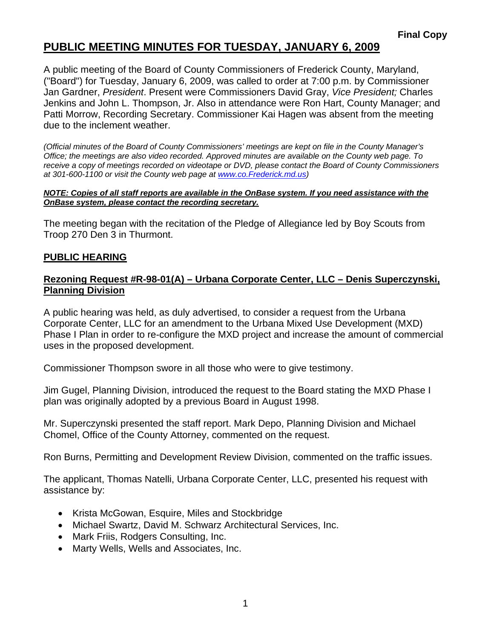## **PUBLIC MEETING MINUTES FOR TUESDAY, JANUARY 6, 2009**

A public meeting of the Board of County Commissioners of Frederick County, Maryland, ("Board") for Tuesday, January 6, 2009, was called to order at 7:00 p.m. by Commissioner Jan Gardner, *President*. Present were Commissioners David Gray, *Vice President;* Charles Jenkins and John L. Thompson, Jr. Also in attendance were Ron Hart, County Manager; and Patti Morrow, Recording Secretary. Commissioner Kai Hagen was absent from the meeting due to the inclement weather.

*(Official minutes of the Board of County Commissioners' meetings are kept on file in the County Manager's Office; the meetings are also video recorded. Approved minutes are available on the County web page. To receive a copy of meetings recorded on videotape or DVD, please contact the Board of County Commissioners at 301-600-1100 or visit the County web page at [www.co](http://www.co/).Frederick.md.us)* 

#### *NOTE: Copies of all staff reports are available in the OnBase system. If you need assistance with the OnBase system, please contact the recording secretary.*

The meeting began with the recitation of the Pledge of Allegiance led by Boy Scouts from Troop 270 Den 3 in Thurmont.

### **PUBLIC HEARING**

#### **Rezoning Request #R-98-01(A) – Urbana Corporate Center, LLC – Denis Superczynski, Planning Division**

A public hearing was held, as duly advertised, to consider a request from the Urbana Corporate Center, LLC for an amendment to the Urbana Mixed Use Development (MXD) Phase I Plan in order to re-configure the MXD project and increase the amount of commercial uses in the proposed development.

Commissioner Thompson swore in all those who were to give testimony.

Jim Gugel, Planning Division, introduced the request to the Board stating the MXD Phase I plan was originally adopted by a previous Board in August 1998.

Mr. Superczynski presented the staff report. Mark Depo, Planning Division and Michael Chomel, Office of the County Attorney, commented on the request.

Ron Burns, Permitting and Development Review Division, commented on the traffic issues.

The applicant, Thomas Natelli, Urbana Corporate Center, LLC, presented his request with assistance by:

- Krista McGowan, Esquire, Miles and Stockbridge
- Michael Swartz, David M. Schwarz Architectural Services, Inc.
- Mark Friis, Rodgers Consulting, Inc.
- Marty Wells, Wells and Associates, Inc.